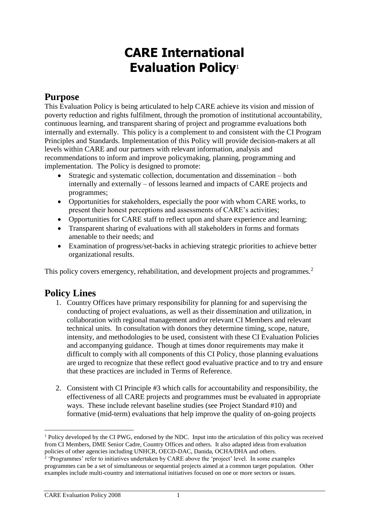# **CARE International Evaluation Policy**<sup>1</sup>

#### **Purpose**

This Evaluation Policy is being articulated to help CARE achieve its vision and mission of poverty reduction and rights fulfilment, through the promotion of institutional accountability, continuous learning, and transparent sharing of project and programme evaluations both internally and externally. This policy is a complement to and consistent with the CI Program Principles and Standards. Implementation of this Policy will provide decision-makers at all levels within CARE and our partners with relevant information, analysis and recommendations to inform and improve policymaking, planning, programming and implementation. The Policy is designed to promote:

- Strategic and systematic collection, documentation and dissemination both internally and externally – of lessons learned and impacts of CARE projects and programmes;
- Opportunities for stakeholders, especially the poor with whom CARE works, to present their honest perceptions and assessments of CARE's activities;
- Opportunities for CARE staff to reflect upon and share experience and learning;
- Transparent sharing of evaluations with all stakeholders in forms and formats amenable to their needs; and
- Examination of progress/set-backs in achieving strategic priorities to achieve better organizational results.

This policy covers emergency, rehabilitation, and development projects and programmes.<sup>2</sup>

# **Policy Lines**

- 1. Country Offices have primary responsibility for planning for and supervising the conducting of project evaluations, as well as their dissemination and utilization, in collaboration with regional management and/or relevant CI Members and relevant technical units. In consultation with donors they determine timing, scope, nature, intensity, and methodologies to be used, consistent with these CI Evaluation Policies and accompanying guidance. Though at times donor requirements may make it difficult to comply with all components of this CI Policy, those planning evaluations are urged to recognize that these reflect good evaluative practice and to try and ensure that these practices are included in Terms of Reference.
- 2. Consistent with CI Principle #3 which calls for accountability and responsibility, the effectiveness of all CARE projects and programmes must be evaluated in appropriate ways. These include relevant baseline studies (see Project Standard #10) and formative (mid-term) evaluations that help improve the quality of on-going projects

<sup>-</sup><sup>1</sup> Policy developed by the CI PWG, endorsed by the NDC. Input into the articulation of this policy was received from CI Members, DME Senior Cadre, Country Offices and others. It also adapted ideas from evaluation policies of other agencies including UNHCR, OECD-DAC, Danida, OCHA/DHA and others.<br><sup>2</sup> 'Programmes' refer to initiatives undertaken by CARE above the 'project' level. In some examples

programmes can be a set of simultaneous or sequential projects aimed at a common target population. Other examples include multi-country and international initiatives focused on one or more sectors or issues.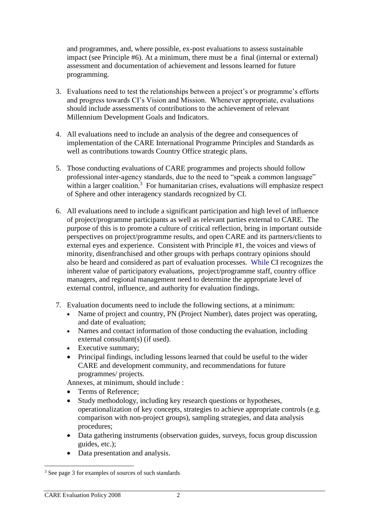and programmes, and, where possible, ex-post evaluations to assess sustainable impact (see Principle #6). At a minimum, there must be a final (internal or external) assessment and documentation of achievement and lessons learned for future programming.

- 3. Evaluations need to test the relationships between a project's or programme's efforts and progress towards CI's Vision and Mission. Whenever appropriate, evaluations should include assessments of contributions to the achievement of relevant Millennium Development Goals and Indicators.
- 4. All evaluations need to include an analysis of the degree and consequences of implementation of the CARE International Programme Principles and Standards as well as contributions towards Country Office strategic plans.
- 5. Those conducting evaluations of CARE programmes and projects should follow professional inter-agency standards, due to the need to "speak a common language" within a larger coalition.<sup>3</sup> For humanitarian crises, evaluations will emphasize respect of Sphere and other interagency standards recognized by CI.
- 6. All evaluations need to include a significant participation and high level of influence of project/programme participants as well as relevant parties external to CARE. The purpose of this is to promote a culture of critical reflection, bring in important outside perspectives on project/programme results, and open CARE and its partners/clients to external eyes and experience. Consistent with Principle #1, the voices and views of minority, disenfranchised and other groups with perhaps contrary opinions should also be heard and considered as part of evaluation processes. While CI recognizes the inherent value of participatory evaluations, project/programme staff, country office managers, and regional management need to determine the appropriate level of external control, influence, and authority for evaluation findings.
- 7. Evaluation documents need to include the following sections, at a minimum:
	- Name of project and country, PN (Project Number), dates project was operating, and date of evaluation;
	- Names and contact information of those conducting the evaluation, including external consultant(s) (if used).
	- Executive summary;
	- Principal findings, including lessons learned that could be useful to the wider CARE and development community, and recommendations for future programmes/ projects.

Annexes, at minimum, should include :

- Terms of Reference;
- Study methodology, including key research questions or hypotheses, operationalization of key concepts, strategies to achieve appropriate controls (e.g. comparison with non-project groups), sampling strategies, and data analysis procedures;
- Data gathering instruments (observation guides, surveys, focus group discussion guides, etc.);
- Data presentation and analysis.

<sup>-</sup><sup>3</sup> See page [3](#page-6-0) for examples of sources of such standards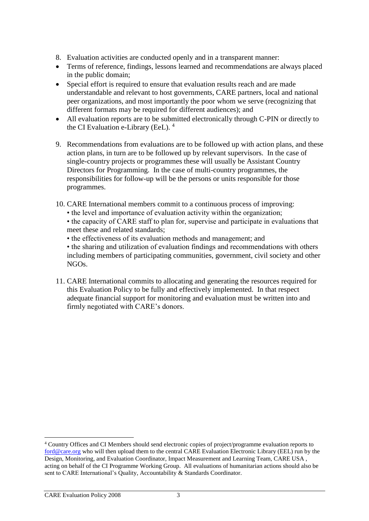- 8. Evaluation activities are conducted openly and in a transparent manner:
- Terms of reference, findings, lessons learned and recommendations are always placed in the public domain;
- Special effort is required to ensure that evaluation results reach and are made understandable and relevant to host governments, CARE partners, local and national peer organizations, and most importantly the poor whom we serve (recognizing that different formats may be required for different audiences); and
- All evaluation reports are to be submitted electronically through C-PIN or directly to the CI Evaluation e-Library (EeL). <sup>4</sup>
- 9. Recommendations from evaluations are to be followed up with action plans, and these action plans, in turn are to be followed up by relevant supervisors. In the case of single-country projects or programmes these will usually be Assistant Country Directors for Programming. In the case of multi-country programmes, the responsibilities for follow-up will be the persons or units responsible for those programmes.
- 10. CARE International members commit to a continuous process of improving:
	- the level and importance of evaluation activity within the organization;
	- the capacity of CARE staff to plan for, supervise and participate in evaluations that meet these and related standards;
	- the effectiveness of its evaluation methods and management; and

• the sharing and utilization of evaluation findings and recommendations with others including members of participating communities, government, civil society and other NGOs.

11. CARE International commits to allocating and generating the resources required for this Evaluation Policy to be fully and effectively implemented. In that respect adequate financial support for monitoring and evaluation must be written into and firmly negotiated with CARE's donors.

-

<sup>4</sup> Country Offices and CI Members should send electronic copies of project/programme evaluation reports to [ford@care.org](mailto:ford@care.org) who will then upload them to the central CARE Evaluation Electronic Library (EEL) run by the Design, Monitoring, and Evaluation Coordinator, Impact Measurement and Learning Team, CARE USA , acting on behalf of the CI Programme Working Group. All evaluations of humanitarian actions should also be sent to CARE International's Quality, Accountability & Standards Coordinator.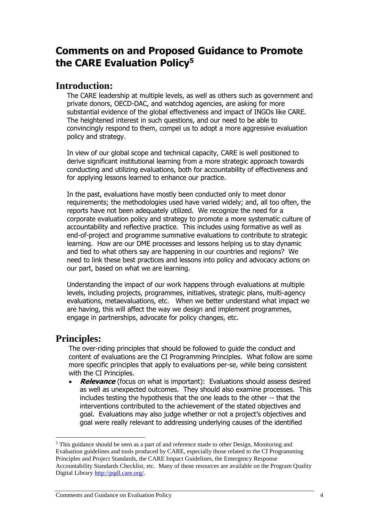# **Comments on and Proposed Guidance to Promote the CARE Evaluation Policy<sup>5</sup>**

#### **Introduction:**

The CARE leadership at multiple levels, as well as others such as government and private donors, OECD-DAC, and watchdog agencies, are asking for more substantial evidence of the global effectiveness and impact of INGOs like CARE. The heightened interest in such questions, and our need to be able to convincingly respond to them, compel us to adopt a more aggressive evaluation policy and strategy.

In view of our global scope and technical capacity, CARE is well positioned to derive significant institutional learning from a more strategic approach towards conducting and utilizing evaluations, both for accountability of effectiveness and for applying lessons learned to enhance our practice.

In the past, evaluations have mostly been conducted only to meet donor requirements; the methodologies used have varied widely; and, all too often, the reports have not been adequately utilized. We recognize the need for a corporate evaluation policy and strategy to promote a more systematic culture of accountability and reflective practice. This includes using formative as well as end-of-project and programme summative evaluations to contribute to strategic learning. How are our DME processes and lessons helping us to stay dynamic and tied to what others say are happening in our countries and regions? We need to link these best practices and lessons into policy and advocacy actions on our part, based on what we are learning.

Understanding the impact of our work happens through evaluations at multiple levels, including projects, programmes, initiatives, strategic plans, multi-agency evaluations, metaevaluations, etc. When we better understand what impact we are having, this will affect the way we design and implement programmes, engage in partnerships, advocate for policy changes, etc.

#### **Principles:**

-

The over-riding principles that should be followed to guide the conduct and content of evaluations are the CI Programming Principles. What follow are some more specific principles that apply to evaluations per-se, while being consistent with the CI Principles.

**Relevance** (focus on what is important): Evaluations should assess desired as well as unexpected outcomes. They should also examine processes. This includes testing the hypothesis that the one leads to the other -- that the interventions contributed to the achievement of the stated objectives and goal. Evaluations may also judge whether or not a project's objectives and goal were really relevant to addressing underlying causes of the identified

<sup>&</sup>lt;sup>5</sup> This guidance should be seen as a part of and reference made to other Design, Monitoring and Evaluation guidelines and tools produced by CARE, especially those related to the CI Programming Principles and Project Standards, the CARE Impact Guidelines, the Emergency Response Accountability Standards Checklist, etc. Many of those resources are available on the Program Quality Digital Library [http://pqdl.care.org/.](http://pqdl.care.org/)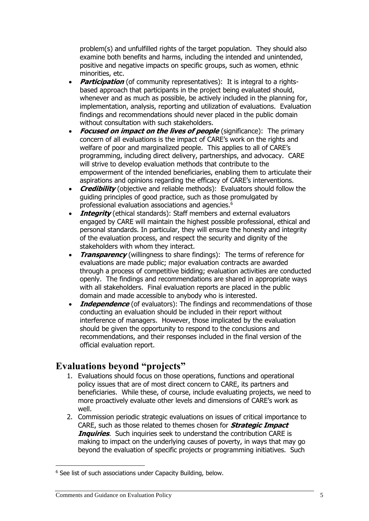problem(s) and unfulfilled rights of the target population. They should also examine both benefits and harms, including the intended and unintended, positive and negative impacts on specific groups, such as women, ethnic minorities, etc.

- **Participation** (of community representatives): It is integral to a rightsbased approach that participants in the project being evaluated should, whenever and as much as possible, be actively included in the planning for, implementation, analysis, reporting and utilization of evaluations. Evaluation findings and recommendations should never placed in the public domain without consultation with such stakeholders.
- **Focused on impact on the lives of people** (significance): The primary concern of all evaluations is the impact of CARE's work on the rights and welfare of poor and marginalized people. This applies to all of CARE's programming, including direct delivery, partnerships, and advocacy. CARE will strive to develop evaluation methods that contribute to the empowerment of the intended beneficiaries, enabling them to articulate their aspirations and opinions regarding the efficacy of CARE's interventions.
- **Credibility** (objective and reliable methods): Evaluators should follow the guiding principles of good practice, such as those promulgated by professional evaluation associations and agencies.<sup>6</sup>
- **Integrity** (ethical standards): Staff members and external evaluators engaged by CARE will maintain the highest possible professional, ethical and personal standards. In particular, they will ensure the honesty and integrity of the evaluation process, and respect the security and dignity of the stakeholders with whom they interact.
- **Transparency** (willingness to share findings): The terms of reference for evaluations are made public; major evaluation contracts are awarded through a process of competitive bidding; evaluation activities are conducted openly. The findings and recommendations are shared in appropriate ways with all stakeholders. Final evaluation reports are placed in the public domain and made accessible to anybody who is interested.
- **Independence** (of evaluators): The findings and recommendations of those conducting an evaluation should be included in their report without interference of managers. However, those implicated by the evaluation should be given the opportunity to respond to the conclusions and recommendations, and their responses included in the final version of the official evaluation report.

#### **Evaluations beyond "projects"**

- 1. Evaluations should focus on those operations, functions and operational policy issues that are of most direct concern to CARE, its partners and beneficiaries. While these, of course, include evaluating projects, we need to more proactively evaluate other levels and dimensions of CARE's work as well.
- 2. Commission periodic strategic evaluations on issues of critical importance to CARE, such as those related to themes chosen for **Strategic Impact Inquiries.** Such inquiries seek to understand the contribution CARE is making to impact on the underlying causes of poverty, in ways that may go beyond the evaluation of specific projects or programming initiatives. Such

-

<sup>&</sup>lt;sup>6</sup> See list of such associations under Capacity Building, below.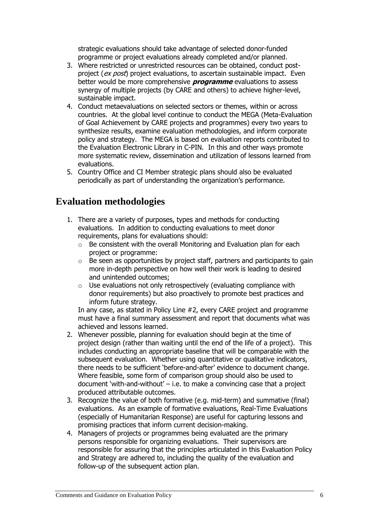strategic evaluations should take advantage of selected donor-funded programme or project evaluations already completed and/or planned.

- 3. Where restricted or unrestricted resources can be obtained, conduct postproject (ex post) project evaluations, to ascertain sustainable impact. Even better would be more comprehensive **programme** evaluations to assess synergy of multiple projects (by CARE and others) to achieve higher-level, sustainable impact.
- 4. Conduct metaevaluations on selected sectors or themes, within or across countries. At the global level continue to conduct the MEGA (Meta-Evaluation of Goal Achievement by CARE projects and programmes) every two years to synthesize results, examine evaluation methodologies, and inform corporate policy and strategy. The MEGA is based on evaluation reports contributed to the Evaluation Electronic Library in C-PIN. In this and other ways promote more systematic review, dissemination and utilization of lessons learned from evaluations.
- 5. Country Office and CI Member strategic plans should also be evaluated periodically as part of understanding the organization's performance.

#### **Evaluation methodologies**

- 1. There are a variety of purposes, types and methods for conducting evaluations. In addition to conducting evaluations to meet donor requirements, plans for evaluations should:
	- o Be consistent with the overall Monitoring and Evaluation plan for each project or programme:
	- o Be seen as opportunities by project staff, partners and participants to gain more in-depth perspective on how well their work is leading to desired and unintended outcomes;
	- $\circ$  Use evaluations not only retrospectively (evaluating compliance with donor requirements) but also proactively to promote best practices and inform future strategy.

In any case, as stated in Policy Line #2, every CARE project and programme must have a final summary assessment and report that documents what was achieved and lessons learned.

- 2. Whenever possible, planning for evaluation should begin at the time of project design (rather than waiting until the end of the life of a project). This includes conducting an appropriate baseline that will be comparable with the subsequent evaluation. Whether using quantitative or qualitative indicators, there needs to be sufficient 'before-and-after' evidence to document change. Where feasible, some form of comparison group should also be used to document 'with-and-without'  $-$  i.e. to make a convincing case that a project produced attributable outcomes.
- 3. Recognize the value of both formative (e.g. mid-term) and summative (final) evaluations. As an example of formative evaluations, Real-Time Evaluations (especially of Humanitarian Response) are useful for capturing lessons and promising practices that inform current decision-making.
- 4. Managers of projects or programmes being evaluated are the primary persons responsible for organizing evaluations. Their supervisors are responsible for assuring that the principles articulated in this Evaluation Policy and Strategy are adhered to, including the quality of the evaluation and follow-up of the subsequent action plan.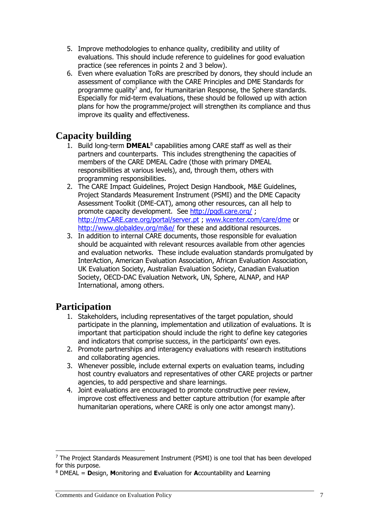- 5. Improve methodologies to enhance quality, credibility and utility of evaluations. This should include reference to guidelines for good evaluation practice (see references in points 2 and 3 below).
- 6. Even where evaluation ToRs are prescribed by donors, they should include an assessment of compliance with the CARE Principles and DME Standards for programme quality<sup>7</sup> and, for Humanitarian Response, the Sphere standards. Especially for mid-term evaluations, these should be followed up with action plans for how the programme/project will strengthen its compliance and thus improve its quality and effectiveness.

## **Capacity building**

- 1. Build long-term **DMEAL**<sup>8</sup> capabilities among CARE staff as well as their partners and counterparts. This includes strengthening the capacities of members of the CARE DMEAL Cadre (those with primary DMEAL responsibilities at various levels), and, through them, others with programming responsibilities.
- 2. The CARE Impact Guidelines, Project Design Handbook, M&E Guidelines, Project Standards Measurement Instrument (PSMI) and the DME Capacity Assessment Toolkit (DME-CAT), among other resources, can all help to promote capacity development. See<http://pqdl.care.org/> ; [http://myCARE.care.org/portal/server.pt](http://mycare.care.org/portal/server.pt) ; [www.kcenter.com/care/dme](http://www.kcenter.com/care/dme) or <http://www.globaldev.org/m&e/> for these and additional resources.
- <span id="page-6-0"></span>3. In addition to internal CARE documents, those responsible for evaluation should be acquainted with relevant resources available from other agencies and evaluation networks. These include evaluation standards promulgated by InterAction, American Evaluation Association, African Evaluation Association, UK Evaluation Society, Australian Evaluation Society, Canadian Evaluation Society, OECD-DAC Evaluation Network, UN, Sphere, ALNAP, and HAP International, among others.

#### **Participation**

-

- 1. Stakeholders, including representatives of the target population, should participate in the planning, implementation and utilization of evaluations. It is important that participation should include the right to define key categories and indicators that comprise success, in the participants' own eyes.
- 2. Promote partnerships and interagency evaluations with research institutions and collaborating agencies.
- 3. Whenever possible, include external experts on evaluation teams, including host country evaluators and representatives of other CARE projects or partner agencies, to add perspective and share learnings.
- 4. Joint evaluations are encouraged to promote constructive peer review, improve cost effectiveness and better capture attribution (for example after humanitarian operations, where CARE is only one actor amongst many).

 $7$  The Project Standards Measurement Instrument (PSMI) is one tool that has been developed for this purpose.

<sup>8</sup> DMEAL = **D**esign, **M**onitoring and **E**valuation for **A**ccountability and **L**earning